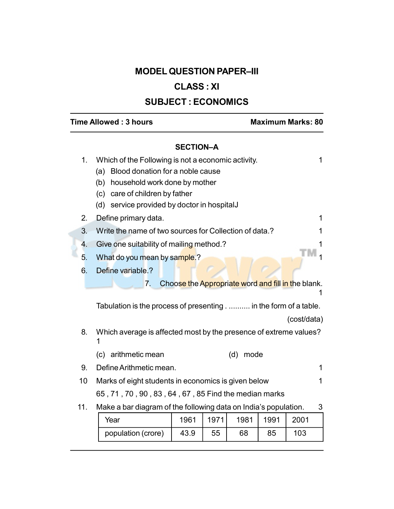# MODEL QUESTION PAPER–III

# CLASS : XI

# SUBJECT : ECONOMICS

# Time Allowed : 3 hours Maximum Marks: 80

## SECTION–A

| 1.  | Which of the Following is not a economic activity.<br>Blood donation for a noble cause<br>(a)<br>household work done by mother<br>(b)<br>care of children by father<br>(c)<br>service provided by doctor in hospitalJ<br>(d) |      |      |                                                    |      |             | 1 |
|-----|------------------------------------------------------------------------------------------------------------------------------------------------------------------------------------------------------------------------------|------|------|----------------------------------------------------|------|-------------|---|
| 2.  | Define primary data.                                                                                                                                                                                                         |      |      |                                                    |      |             | 1 |
| 3.  | Write the name of two sources for Collection of data.?                                                                                                                                                                       |      |      |                                                    |      |             | 1 |
| 4.  | Give one suitability of mailing method.?                                                                                                                                                                                     |      |      |                                                    |      |             | 1 |
| 5.  | What do you mean by sample.?                                                                                                                                                                                                 |      |      |                                                    |      |             |   |
| 6.  | Define variable.?                                                                                                                                                                                                            |      |      |                                                    |      |             |   |
|     | 7.<br>Tabulation is the process of presenting in the form of a table.                                                                                                                                                        |      |      | Choose the Appropriate word and fill in the blank. |      | (cost/data) |   |
|     |                                                                                                                                                                                                                              |      |      |                                                    |      |             |   |
| 8.  | Which average is affected most by the presence of extreme values?                                                                                                                                                            |      |      |                                                    |      |             |   |
|     | arithmetic mean<br>(c)                                                                                                                                                                                                       |      |      | (d)<br>mode                                        |      |             |   |
| 9.  | Define Arithmetic mean.                                                                                                                                                                                                      |      |      |                                                    |      |             | 1 |
| 10  | Marks of eight students in economics is given below                                                                                                                                                                          |      |      |                                                    |      |             | 1 |
|     | 65, 71, 70, 90, 83, 64, 67, 85 Find the median marks                                                                                                                                                                         |      |      |                                                    |      |             |   |
| 11. | Make a bar diagram of the following data on India's population.                                                                                                                                                              |      |      |                                                    |      |             | 3 |
|     | Year                                                                                                                                                                                                                         | 1961 | 1971 | 1981                                               | 1991 | 2001        |   |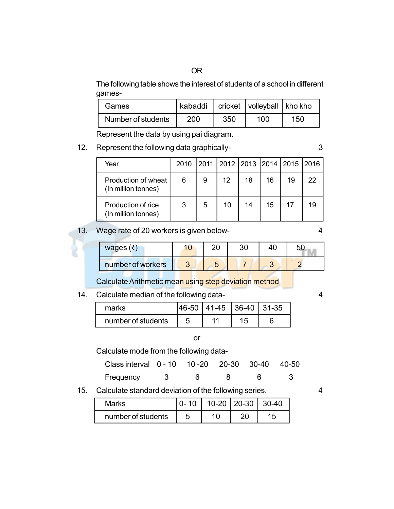The following table shows the interest of students of a school in different games-

| Games.             |     |     | kabaddi   cricket   volleyball   kho kho |      |
|--------------------|-----|-----|------------------------------------------|------|
| Number of students | 200 | 350 | 100                                      | 150. |

Represent the data by using pai diagram.

12. Represent the following data graphically-<br>3

| Year                                       |   |   |    |    |    | 2010 2011 2012 2013 2014 2015 2016 |    |
|--------------------------------------------|---|---|----|----|----|------------------------------------|----|
| Production of wheat<br>(In million tonnes) | 6 | 9 | 12 | 18 | 16 | 19                                 | 22 |
| Production of rice<br>(In million tonnes)  | 3 | 5 | 10 | 14 | 15 | 17                                 | 19 |

## 13. Wage rate of 20 workers is given below- 4

| wages $(\bar{z})$ |  | 3C |  |
|-------------------|--|----|--|
| number of workers |  |    |  |

Calculate Arithmetic mean using step deviation method

## 14. Calculate median of the following data-<br>4

| marks              | 146-50 | $141-45$   36-40   31-35 |  |
|--------------------|--------|--------------------------|--|
| number of students |        | 44                       |  |

#### or

#### Calculate mode from the following data-

| Class interval 0 - 10 10 - 20 20 - 30 - 30 - 40 - 50 |       |  |  |
|------------------------------------------------------|-------|--|--|
| Frequency                                            | - 6 - |  |  |

15. Calculate standard deviation of the following series. 4

| Marks              | $0 - 10$ | 10-20   20-30   30-40 |    |
|--------------------|----------|-----------------------|----|
| number of students |          |                       | 15 |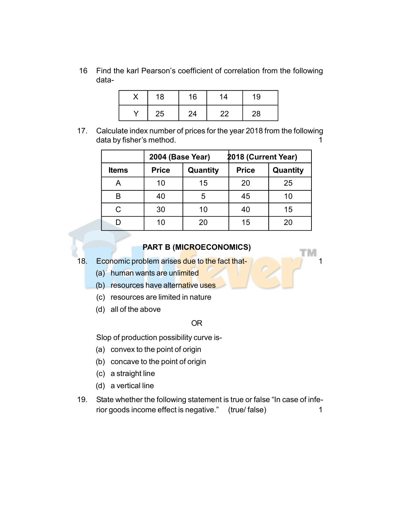16 Find the karl Pearson's coefficient of correlation from the following data-

|   | 18 | 16 | 14 | 19 |  |
|---|----|----|----|----|--|
| v | 25 | 24 | 22 | 28 |  |

17. Calculate index number of prices for the year 2018 from the following data by fisher's method. The same state of the state of the state of the state of the state of the state of the state of the state of the state of the state of the state of the state of the state of the state of the state

|              | 2004 (Base Year)         |    | 2018 (Current Year) |          |
|--------------|--------------------------|----|---------------------|----------|
| <b>Items</b> | <b>Price</b><br>Quantity |    | <b>Price</b>        | Quantity |
|              | 10                       | 15 | 20                  | 25       |
| R            | 40                       | 5  | 45                  | 10       |
| C            | 30                       | 10 | 40                  | 15       |
|              | 10                       | 20 | 15                  | 20       |

### PART B (MICROECONOMICS)

ГM

- 18. Economic problem arises due to the fact that-
	- (a) human wants are unlimited
	- (b) resources have alternative uses
	- (c) resources are limited in nature
	- (d) all of the above

#### OR

Slop of production possibility curve is-

- (a) convex to the point of origin
- (b) concave to the point of origin
- (c) a straight line
- (d) a vertical line
- 19. State whether the following statement is true or false "In case of inferior goods income effect is negative." (true/ false) 1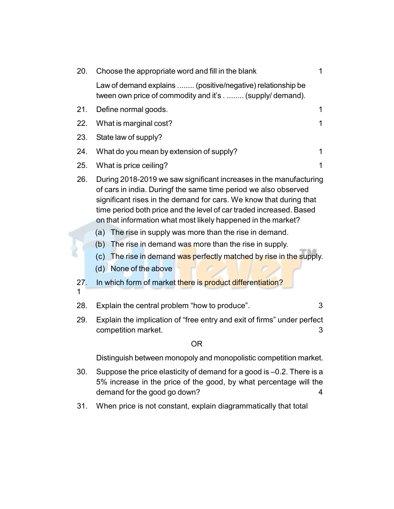| 20.          | Choose the appropriate word and fill in the blank                                                                                                                                                                                                                                                                                                  | $\overline{1}$ |
|--------------|----------------------------------------------------------------------------------------------------------------------------------------------------------------------------------------------------------------------------------------------------------------------------------------------------------------------------------------------------|----------------|
|              | Law of demand explains  (positive/negative) relationship be<br>tween own price of commodity and it's (supply/demand).                                                                                                                                                                                                                              |                |
| 21.          | Define normal goods.                                                                                                                                                                                                                                                                                                                               | 1              |
| 22.          | What is marginal cost?                                                                                                                                                                                                                                                                                                                             | 1              |
| 23.          | State law of supply?                                                                                                                                                                                                                                                                                                                               |                |
| 24.          | What do you mean by extension of supply?                                                                                                                                                                                                                                                                                                           | 1              |
| 25.          | What is price ceiling?                                                                                                                                                                                                                                                                                                                             | 1              |
| 26.          | During 2018-2019 we saw significant increases in the manufacturing<br>of cars in india. Duringf the same time period we also observed<br>significant rises in the demand for cars. We know that during that<br>time period both price and the level of car traded increased. Based<br>on that information what most likely happened in the market? |                |
|              | (a) The rise in supply was more than the rise in demand.                                                                                                                                                                                                                                                                                           |                |
| 27.          | (b) The rise in demand was more than the rise in supply.<br>(c) The rise in demand was perfectly matched by rise in the supply.<br>(d) None of the above<br>In which form of market there is product differentiation?                                                                                                                              |                |
| $\mathbf{1}$ |                                                                                                                                                                                                                                                                                                                                                    |                |
| 28.          | Explain the central problem "how to produce".                                                                                                                                                                                                                                                                                                      | 3              |
| 29.          | Explain the implication of "free entry and exit of firms" under perfect<br>competition market.                                                                                                                                                                                                                                                     | 3              |
|              | <b>OR</b>                                                                                                                                                                                                                                                                                                                                          |                |
|              | Distinguish between monopoly and monopolistic competition market.                                                                                                                                                                                                                                                                                  |                |
| 30.          | Suppose the price elasticity of demand for a good is -0.2. There is a<br>5% increase in the price of the good, by what percentage will the                                                                                                                                                                                                         |                |

31. When price is not constant, explain diagrammatically that total

demand for the good go down? 4